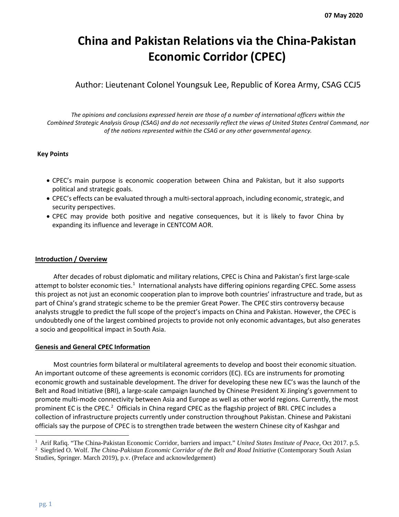# **China and Pakistan Relations via the China-Pakistan Economic Corridor (CPEC)**

Author: Lieutenant Colonel Youngsuk Lee, Republic of Korea Army, CSAG CCJ5

*The opinions and conclusions expressed herein are those of a number of international officers within the Combined Strategic Analysis Group (CSAG) and do not necessarily reflect the views of United States Central Command, nor of the nations represented within the CSAG or any other governmental agency.*

#### **Key Point***s*

- CPEC's main purpose is economic cooperation between China and Pakistan, but it also supports political and strategic goals.
- CPEC's effects can be evaluated through a multi-sectoral approach, including economic, strategic, and security perspectives.
- CPEC may provide both positive and negative consequences, but it is likely to favor China by expanding its influence and leverage in CENTCOM AOR.

#### **Introduction / Overview**

After decades of robust diplomatic and military relations, CPEC is China and Pakistan's first large-scale attempt to bolster economic ties.<sup>[1](#page-0-0)</sup> International analysts have differing opinions regarding CPEC. Some assess this project as not just an economic cooperation plan to improve both countries' infrastructure and trade, but as part of China's grand strategic scheme to be the premier Great Power. The CPEC stirs controversy because analysts struggle to predict the full scope of the project's impacts on China and Pakistan. However, the CPEC is undoubtedly one of the largest combined projects to provide not only economic advantages, but also generates a socio and geopolitical impact in South Asia.

#### **Genesis and General CPEC Information**

Most countries form bilateral or multilateral agreements to develop and boost their economic situation. An important outcome of these agreements is economic corridors (EC). ECs are instruments for promoting economic growth and sustainable development. The driver for developing these new EC's was the launch of the Belt and Road Initiative (BRI), a large-scale campaign launched by Chinese President Xi Jinping's government to promote multi-mode connectivity between Asia and Europe as well as other world regions. Currently, the most prominent EC is the CPEC.<sup>[2](#page-0-1)</sup> Officials in China regard CPEC as the flagship project of BRI. CPEC includes a collection of infrastructure projects currently under construction throughout Pakistan. Chinese and Pakistani officials say the purpose of CPEC is to strengthen trade between the western Chinese city of Kashgar and

<span id="page-0-0"></span><sup>1</sup> Arif Rafiq. "The China-Pakistan Economic Corridor, barriers and impact." *United States Institute of Peace*, Oct 2017. p.5.

<span id="page-0-1"></span><sup>2</sup> Siegfried O. Wolf. *The China-Pakistan Economic Corridor of the Belt and Road Initiative* (Contemporary South Asian Studies, Springer. March 2019), p.v. (Preface and acknowledgement)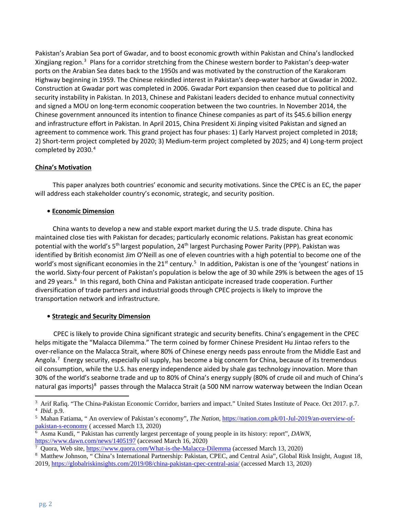Pakistan's Arabian Sea port of Gwadar, and to boost economic growth within Pakistan and China's landlocked Xingjiang region.<sup>[3](#page-1-0)</sup> Plans for a corridor stretching from the Chinese western border to Pakistan's deep-water ports on the Arabian Sea dates back to the 1950s and was motivated by the construction of the Karakoram Highway beginning in 1959. The Chinese rekindled interest in Pakistan's deep-water harbor at Gwadar in 2002. Construction at Gwadar port was completed in 2006. Gwadar Port expansion then ceased due to political and security instability in Pakistan. In 2013, Chinese and Pakistani leaders decided to enhance mutual connectivity and signed a MOU on long-term economic cooperation between the two countries. In November 2014, the Chinese government announced its intention to finance Chinese companies as part of its \$45.6 billion energy and infrastructure effort in Pakistan. In April 2015, China President Xi Jinping visited Pakistan and signed an agreement to commence work. This grand project has four phases: 1) Early Harvest project completed in 2018; 2) Short-term project completed by 2020; 3) Medium-term project completed by 2025; and 4) Long-term project completed by 2030.<sup>[4](#page-1-1)</sup>

#### **China's Motivation**

This paper analyzes both countries' economic and security motivations. Since the CPEC is an EC, the paper will address each stakeholder country's economic, strategic, and security position.

# **• Economic Dimension**

China wants to develop a new and stable export market during the U.S. trade dispute. China has maintained close ties with Pakistan for decades; particularly economic relations. Pakistan has great economic potential with the world's 5<sup>th</sup> largest population, 24<sup>th</sup> largest Purchasing Power Parity (PPP). Pakistan was identified by British economist Jim O'Neill as one of eleven countries with a high potential to become one of the world's most significant economies in the 21<sup>st</sup> century.<sup>[5](#page-1-2)</sup> In addition, Pakistan is one of the 'youngest' nations in the world. Sixty-four percent of Pakistan's population is below the age of 30 while 29% is between the ages of 15 and 29 years.<sup>[6](#page-1-3)</sup> In this regard, both China and Pakistan anticipate increased trade cooperation. Further diversification of trade partners and industrial goods through CPEC projects is likely to improve the transportation network and infrastructure.

# **• Strategic and Security Dimension**

CPEC is likely to provide China significant strategic and security benefits. China's engagement in the CPEC helps mitigate the "Malacca Dilemma." The term coined by former Chinese President Hu Jintao refers to the over-reliance on the Malacca Strait, where 80% of Chinese energy needs pass enroute from the Middle East and Angola.<sup>[7](#page-1-4)</sup> Energy security, especially oil supply, has become a big concern for China, because of its tremendous oil consumption, while the U.S. has energy independence aided by shale gas technology innovation. More than 30% of the world's seaborne trade and up to 80% of China's energy supply (80% of crude oil and much of China's natural gas imports)<sup>[8](#page-1-5)</sup> passes through the Malacca Strait (a 500 NM narrow waterway between the Indian Ocean

<span id="page-1-1"></span><span id="page-1-0"></span><sup>3</sup> Arif Rafiq. "The China-Pakistan Economic Corridor, barriers and impact." United States Institute of Peace. Oct 2017. p.7. <sup>4</sup> *Ibid*. p.9.

<span id="page-1-2"></span><sup>5</sup> Mahan Fatiama, " An overview of Pakistan's economy", *The Nation*, [https://nation.com.pk/01-Jul-2019/an-overview-of](https://nation.com.pk/01-Jul-2019/an-overview-of-pakistan-s-economy)[pakistan-s-economy](https://nation.com.pk/01-Jul-2019/an-overview-of-pakistan-s-economy) ( accessed March 13, 2020)

<span id="page-1-3"></span><sup>6</sup> Asma Kundi, " Pakistan has currently largest percentage of young people in its history: report", *DAWN*, <https://www.dawn.com/news/1405197> (accessed March 16, 2020)

<span id="page-1-4"></span>Quora, Web site[, https://www.quora.com/What-is-the-Malacca-Dilemma](https://www.quora.com/What-is-the-Malacca-Dilemma) (accessed March 13, 2020)

<span id="page-1-5"></span><sup>8</sup> Matthew Johnson, " China's International Partnership: Pakistan, CPEC, and Central Asia", Global Risk Insight, August 18, 2019,<https://globalriskinsights.com/2019/08/china-pakistan-cpec-central-asia/> (accessed March 13, 2020)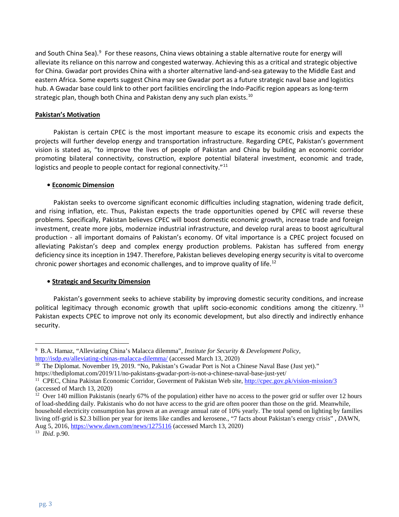and South China Sea).<sup>[9](#page-2-0)</sup> For these reasons, China views obtaining a stable alternative route for energy will alleviate its reliance on this narrow and congested waterway. Achieving this as a critical and strategic objective for China. Gwadar port provides China with a shorter alternative land-and-sea gateway to the Middle East and eastern Africa. Some experts suggest China may see Gwadar port as a future strategic naval base and logistics hub. A Gwadar base could link to other port facilities encircling the Indo-Pacific region appears as long-term strategic plan, though both China and Pakistan deny any such plan exists. [10](#page-2-1) 

#### **Pakistan's Motivation**

Pakistan is certain CPEC is the most important measure to escape its economic crisis and expects the projects will further develop energy and transportation infrastructure. Regarding CPEC, Pakistan's government vision is stated as, "to improve the lives of people of Pakistan and China by building an economic corridor promoting bilateral connectivity, construction, explore potential bilateral investment, economic and trade, logistics and people to people contact for regional connectivity."<sup>11</sup>

#### **• Economic Dimension**

Pakistan seeks to overcome significant economic difficulties including stagnation, widening trade deficit, and rising inflation, etc. Thus, Pakistan expects the trade opportunities opened by CPEC will reverse these problems. Specifically, Pakistan believes CPEC will boost domestic economic growth, increase trade and foreign investment, create more jobs, modernize industrial infrastructure, and develop rural areas to boost agricultural production - all important domains of Pakistan's economy. Of vital importance is a CPEC project focused on alleviating Pakistan's deep and complex energy production problems. Pakistan has suffered from energy deficiency since its inception in 1947. Therefore, Pakistan believes developing energy security is vital to overcome chronic power shortages and economic challenges, and to improve quality of life. [12](#page-2-3)

#### **• Strategic and Security Dimension**

Pakistan's government seeks to achieve stability by improving domestic security conditions, and increase political legitimacy through economic growth that uplift socio-economic conditions among the citizenry.<sup>[13](#page-2-4)</sup> Pakistan expects CPEC to improve not only its economic development, but also directly and indirectly enhance security.

<span id="page-2-0"></span><sup>9</sup> B.A. Hamaz, "Alleviating China's Malacca dilemma", *Institute for Security & Development Policy*, <http://isdp.eu/alleviating-chinas-malacca-dilemma/> (accessed March 13, 2020)

<span id="page-2-1"></span><sup>&</sup>lt;sup>10</sup> The Diplomat. November 19, 2019. "No, Pakistan's Gwadar Port is Not a Chinese Naval Base (Just yet)." https://thediplomat.com/2019/11/no-pakistans-gwadar-port-is-not-a-chinese-naval-base-just-yet/

<span id="page-2-2"></span><sup>11</sup> CPEC, China Pakistan Economic Corridor, Goverment of Pakistan Web site[, http://cpec.gov.pk/vision-mission/3](http://cpec.gov.pk/vision-mission/3) (accessed of March 13, 2020)

<span id="page-2-3"></span><sup>&</sup>lt;sup>12</sup> Over 140 million Pakistanis (nearly 67% of the population) either have no access to the power grid or suffer over 12 hours of load-shedding daily. Pakistanis who do not have access to the grid are often poorer than those on the grid. Meanwhile, household electricity consumption has grown at an average annual rate of 10% yearly. The total spend on lighting by families living off-grid is \$2.3 billion per year for items like candles and kerosene., "7 facts about Pakistan's energy crisis" , *D*AWN, Aug 5, 2016[, https://www.dawn.com/news/1275116](https://www.dawn.com/news/1275116) (accessed March 13, 2020)

<span id="page-2-4"></span><sup>13</sup> *Ibid*. p.90.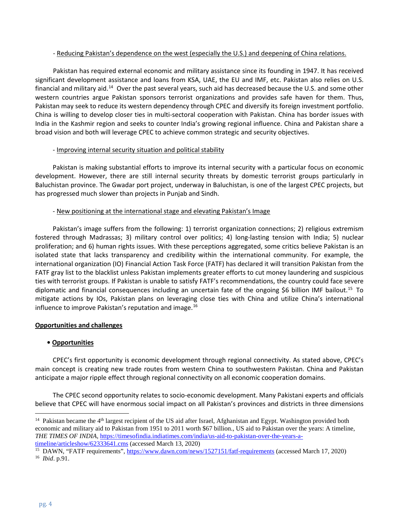#### - Reducing Pakistan's dependence on the west (especially the U.S.) and deepening of China relations.

Pakistan has required external economic and military assistance since its founding in 1947. It has received significant development assistance and loans from KSA, UAE, the EU and IMF, etc. Pakistan also relies on U.S. financial and military aid.[14](#page-3-0) Over the past several years, such aid has decreased because the U.S. and some other western countries argue Pakistan sponsors terrorist organizations and provides safe haven for them. Thus, Pakistan may seek to reduce its western dependency through CPEC and diversify its foreign investment portfolio. China is willing to develop closer ties in multi-sectoral cooperation with Pakistan. China has border issues with India in the Kashmir region and seeks to counter India's growing regional influence. China and Pakistan share a broad vision and both will leverage CPEC to achieve common strategic and security objectives.

# - Improving internal security situation and political stability

Pakistan is making substantial efforts to improve its internal security with a particular focus on economic development. However, there are still internal security threats by domestic terrorist groups particularly in Baluchistan province. The Gwadar port project, underway in Baluchistan, is one of the largest CPEC projects, but has progressed much slower than projects in Punjab and Sindh.

# - New positioning at the international stage and elevating Pakistan's Image

Pakistan's image suffers from the following: 1) terrorist organization connections; 2) religious extremism fostered through Madrassas; 3) military control over politics; 4) long-lasting tension with India; 5) nuclear proliferation; and 6) human rights issues. With these perceptions aggregated, some critics believe Pakistan is an isolated state that lacks transparency and credibility within the international community. For example, the international organization (IO) Financial Action Task Force (FATF) has declared it will transition Pakistan from the FATF gray list to the blacklist unless Pakistan implements greater efforts to cut money laundering and suspicious ties with terrorist groups. If Pakistan is unable to satisfy FATF's recommendations, the country could face severe diplomatic and financial consequences including an uncertain fate of the ongoing \$6 billion IMF bailout.<sup>[15](#page-3-1)</sup> To mitigate actions by IOs, Pakistan plans on leveraging close ties with China and utilize China's international influence to improve Pakistan's reputation and image. $^{16}$ 

# **Opportunities and challenges**

# **• Opportunities**

CPEC's first opportunity is economic development through regional connectivity. As stated above, CPEC's main concept is creating new trade routes from western China to southwestern Pakistan. China and Pakistan anticipate a major ripple effect through regional connectivity on all economic cooperation domains.

The CPEC second opportunity relates to socio-economic development. Many Pakistani experts and officials believe that CPEC will have enormous social impact on all Pakistan's provinces and districts in three dimensions

<span id="page-3-0"></span><sup>&</sup>lt;sup>14</sup> Pakistan became the 4<sup>th</sup> largest recipient of the US aid after Israel, Afghanistan and Egypt. Washington provided both economic and military aid to Pakistan from 1951 to 2011 worth \$67 billion., US aid to Pakistan over the years: A timeline, *THE TIMES OF INDIA*[, https://timesofindia.indiatimes.com/india/us-aid-to-pakistan-over-the-years-a](https://timesofindia.indiatimes.com/india/us-aid-to-pakistan-over-the-years-a-timeline/articleshow/62333641.cms)[timeline/articleshow/62333641.cms](https://timesofindia.indiatimes.com/india/us-aid-to-pakistan-over-the-years-a-timeline/articleshow/62333641.cms) (accessed March 13, 2020)

<span id="page-3-2"></span><span id="page-3-1"></span><sup>&</sup>lt;sup>15</sup> DAWN, "FATF requirements"[, https://www.dawn.com/news/1527151/fatf-requirements](https://www.dawn.com/news/1527151/fatf-requirements) (accessed March 17, 2020) <sup>16</sup> *Ibid*. p.91.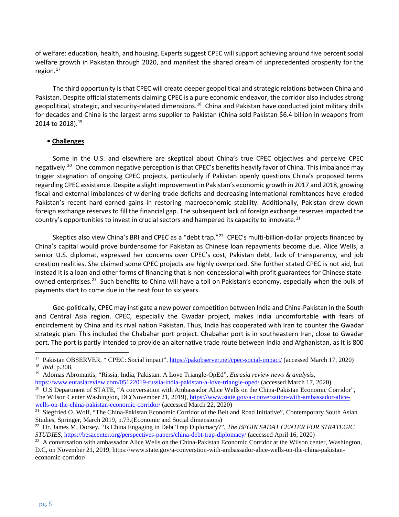of welfare: education, health, and housing. Experts suggest CPEC will support achieving around five percent social welfare growth in Pakistan through 2020, and manifest the shared dream of unprecedented prosperity for the region. $17$ 

The third opportunity is that CPEC will create deeper geopolitical and strategic relations between China and Pakistan. Despite official statements claiming CPEC is a pure economic endeavor, the corridor also includes strong geopolitical, strategic, and security-related dimensions.<sup>[18](#page-4-1)</sup> China and Pakistan have conducted joint military drills for decades and China is the largest arms supplier to Pakistan (China sold Pakistan \$6.4 billion in weapons from 2014 to 2018).<sup>19</sup>

#### **• Challenges**

Some in the U.S. and elsewhere are skeptical about China's true CPEC objectives and perceive CPEC negatively. [20](#page-4-3) One common negative perception is that CPEC's benefits heavily favor of China. This imbalance may trigger stagnation of ongoing CPEC projects, particularly if Pakistan openly questions China's proposed terms regarding CPEC assistance. Despite a slight improvement in Pakistan's economic growth in 2017 and 2018, growing fiscal and external imbalances of widening trade deficits and decreasing international remittances have eroded Pakistan's recent hard-earned gains in restoring macroeconomic stability. Additionally, Pakistan drew down foreign exchange reserves to fill the financial gap. The subsequent lack of foreign exchange reserves impacted the country's opportunities to invest in crucial sectors and hampered its capacity to innovate.<sup>[21](#page-4-4)</sup>

Skeptics also view China's BRI and CPEC as a "debt trap."<sup>[22](#page-4-5)</sup> CPEC's multi-billion-dollar projects financed by China's capital would prove burdensome for Pakistan as Chinese loan repayments become due. Alice Wells, a senior U.S. diplomat, expressed her concerns over CPEC's cost, Pakistan debt, lack of transparency, and job creation realities. She claimed some CPEC projects are highly overpriced. She further stated CPEC is not aid, but instead it is a loan and other forms of financing that is non-concessional with profit guarantees for Chinese state-owned enterprises.<sup>[23](#page-4-6)</sup> Such benefits to China will have a toll on Pakistan's economy, especially when the bulk of payments start to come due in the next four to six years.

Geo-politically, CPEC may instigate a new power competition between India and China-Pakistan in the South and Central Asia region. CPEC, especially the Gwadar project, makes India uncomfortable with fears of encirclement by China and its rival nation Pakistan. Thus, India has cooperated with Iran to counter the Gwadar strategic plan. This included the Chabahar port project. Chabahar port is in southeastern Iran, close to Gwadar port. The port is partly intended to provide an alternative trade route between India and Afghanistan, as it is 800

<span id="page-4-0"></span><sup>17</sup> Pakistan OBSERVER, " CPEC: Social impact",<https://pakobserver.net/cpec-social-impact/> (accessed March 17, 2020)

<span id="page-4-2"></span><span id="page-4-1"></span><sup>&</sup>lt;sup>18</sup> *Ibid.* p.308.<br><sup>19</sup> Adomas Abromaitis, "Rissia, India, Pakistan: A Love Triangle-OpEd", *Eurasia review news & analysis*, <https://www.eurasiareview.com/05122019-russia-india-pakistan-a-love-triangle-oped/> (accessed March 17, 2020)

<span id="page-4-3"></span><sup>&</sup>lt;sup>20</sup> U.S Department of STATE, "A conversation with Ambassador Alice Wells on the China-Pakistan Economic Corridor", The Wilson Center Washington, DC(November 21, 2019), [https://www.state.gov/a-conversation-with-ambassador-alice](https://www.state.gov/a-conversation-with-ambassador-alice-wells-on-the-china-pakistan-economic-corridor/)[wells-on-the-china-pakistan-economic-corridor/](https://www.state.gov/a-conversation-with-ambassador-alice-wells-on-the-china-pakistan-economic-corridor/) (accessed March 22, 2020)

<span id="page-4-4"></span> $\frac{21}{21}$  Siegfried O. Wolf, "The China-Pakistan Economic Corridor of the Belt and Road Initiative", Contemporary South Asian Studies, Springer, March 2019, p.73.(Economic and Social dimensions)

<span id="page-4-5"></span><sup>&</sup>lt;sup>22</sup> Dr. James M. Dorsey, "Is China Engaging in Debt Trap Diplomacy?", *The BEGIN SADAT CENTER FOR STRATEGIC STUDIES*,<https://besacenter.org/perspectives-papers/china-debt-trap-diplomacy/> (accessed April 16, 2020)

<span id="page-4-6"></span><sup>&</sup>lt;sup>23</sup> A conversation with ambassador Alice Wells on the China-Pakistan Economic Corridor at the Wilson center, Washington,

D.C, on November 21, 2019, https://www.state.gov/a-converstion-with-ambassador-alice-wells-on-the-china-pakistaneconomic-corridor/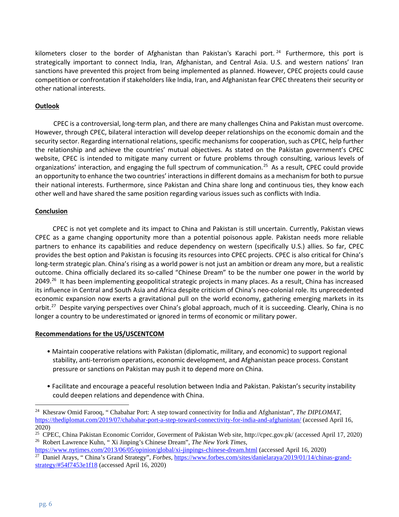kilometers closer to the border of Afghanistan than Pakistan's Karachi port. <sup>[24](#page-5-0)</sup> Furthermore, this port is strategically important to connect India, Iran, Afghanistan, and Central Asia. U.S. and western nations' Iran sanctions have prevented this project from being implemented as planned. However, CPEC projects could cause competition or confrontation if stakeholders like India, Iran, and Afghanistan fear CPEC threatens their security or other national interests.

# **Outlook**

CPEC is a controversial, long-term plan, and there are many challenges China and Pakistan must overcome. However, through CPEC, bilateral interaction will develop deeper relationships on the economic domain and the security sector. Regarding international relations, specific mechanisms for cooperation, such as CPEC, help further the relationship and achieve the countries' mutual objectives. As stated on the Pakistan government's CPEC website, CPEC is intended to mitigate many current or future problems through consulting, various levels of organizations' interaction, and engaging the full spectrum of communication. [25](#page-5-1) As a result, CPEC could provide an opportunity to enhance the two countries' interactions in different domains as a mechanism for both to pursue their national interests. Furthermore, since Pakistan and China share long and continuous ties, they know each other well and have shared the same position regarding various issues such as conflicts with India.

# **Conclusion**

CPEC is not yet complete and its impact to China and Pakistan is still uncertain. Currently, Pakistan views CPEC as a game changing opportunity more than a potential poisonous apple. Pakistan needs more reliable partners to enhance its capabilities and reduce dependency on western (specifically U.S.) allies. So far, CPEC provides the best option and Pakistan is focusing its resources into CPEC projects. CPEC is also critical for China's long-term strategic plan. China's rising as a world power is not just an ambition or dream any more, but a realistic outcome. China officially declared its so-called "Chinese Dream" to be the number one power in the world by 2049.<sup>26</sup> It has been implementing geopolitical strategic projects in many places. As a result, China has increased its influence in Central and South Asia and Africa despite criticism of China's neo-colonial role. Its unprecedented economic expansion now exerts a gravitational pull on the world economy, gathering emerging markets in its orbit.<sup>27</sup> Despite varying perspectives over China's global approach, much of it is succeeding. Clearly, China is no longer a country to be underestimated or ignored in terms of economic or military power.

#### **Recommendations for the US/USCENTCOM**

- Maintain cooperative relations with Pakistan (diplomatic, military, and economic) to support regional stability, anti-terrorism operations, economic development, and Afghanistan peace process. Constant pressure or sanctions on Pakistan may push it to depend more on China.
- Facilitate and encourage a peaceful resolution between India and Pakistan. Pakistan's security instability could deepen relations and dependence with China.

<span id="page-5-0"></span><sup>24</sup> Khesraw Omid Farooq, " Chabahar Port: A step toward connectivity for India and Afghanistan", *The DIPLOMAT*, <https://thediplomat.com/2019/07/chabahar-port-a-step-toward-connectivity-for-india-and-afghanistan/> (accessed April 16, 2020)

<span id="page-5-2"></span><span id="page-5-1"></span><sup>25</sup> CPEC, China Pakistan Economic Corridor, Goverment of Pakistan Web site, http://cpec.gov.pk/ (accessed April 17, 2020) <sup>26</sup> Robert Lawrence Kuhn, " Xi Jinping's Chinese Dream", *The New York Times*,

<span id="page-5-3"></span><https://www.nytimes.com/2013/06/05/opinion/global/xi-jinpings-chinese-dream.html> (accessed April 16, 2020) <sup>27</sup> Daniel Arays, " China's Grand Strategy", *Forbes*[, https://www.forbes.com/sites/danielaraya/2019/01/14/chinas-grand](https://www.forbes.com/sites/danielaraya/2019/01/14/chinas-grand-strategy/#54f7453e1f18)[strategy/#54f7453e1f18](https://www.forbes.com/sites/danielaraya/2019/01/14/chinas-grand-strategy/#54f7453e1f18) (accessed April 16, 2020)